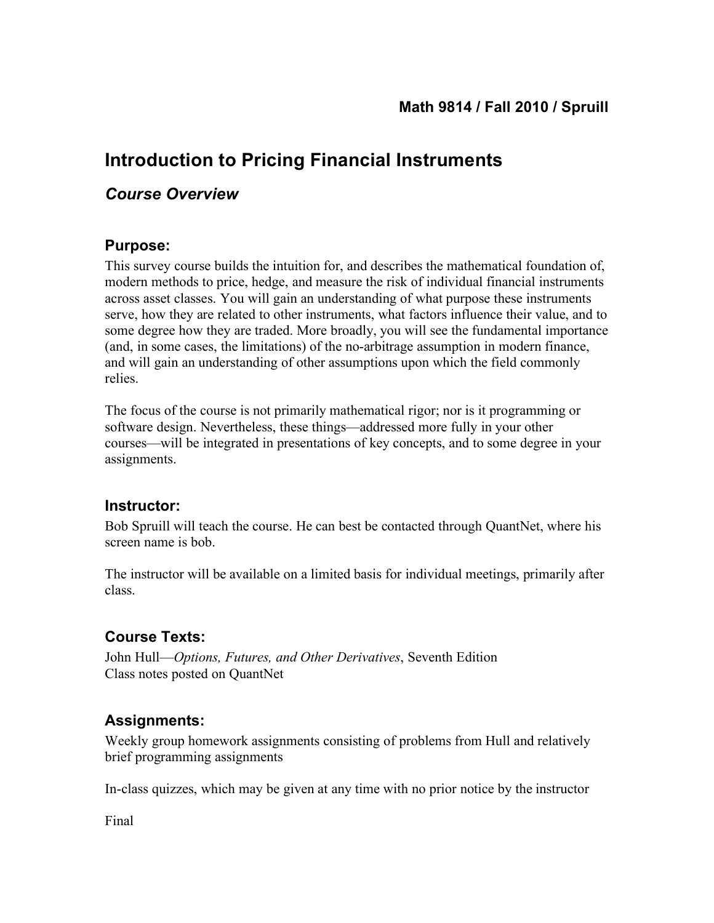# **Introduction to Pricing Financial Instruments**

## *Course Overview*

#### **Purpose:**

This survey course builds the intuition for, and describes the mathematical foundation of, modern methods to price, hedge, and measure the risk of individual financial instruments across asset classes. You will gain an understanding of what purpose these instruments serve, how they are related to other instruments, what factors influence their value, and to some degree how they are traded. More broadly, you will see the fundamental importance (and, in some cases, the limitations) of the no-arbitrage assumption in modern finance, and will gain an understanding of other assumptions upon which the field commonly relies.

The focus of the course is not primarily mathematical rigor; nor is it programming or software design. Nevertheless, these things—addressed more fully in your other courses—will be integrated in presentations of key concepts, and to some degree in your assignments.

### **Instructor:**

Bob Spruill will teach the course. He can best be contacted through QuantNet, where his screen name is bob.

The instructor will be available on a limited basis for individual meetings, primarily after class.

### **Course Texts:**

John Hull—*Options, Futures, and Other Derivatives*, Seventh Edition Class notes posted on QuantNet

### **Assignments:**

Weekly group homework assignments consisting of problems from Hull and relatively brief programming assignments

In-class quizzes, which may be given at any time with no prior notice by the instructor

Final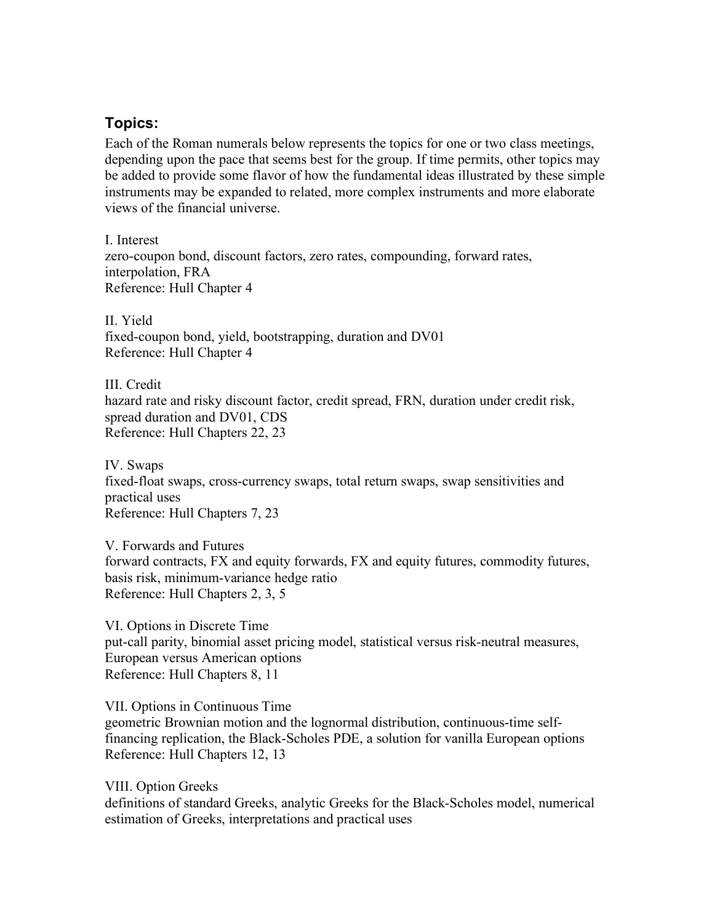#### **Topics:**

Each of the Roman numerals below represents the topics for one or two class meetings, depending upon the pace that seems best for the group. If time permits, other topics may be added to provide some flavor of how the fundamental ideas illustrated by these simple instruments may be expanded to related, more complex instruments and more elaborate views of the financial universe.

I. Interest zero-coupon bond, discount factors, zero rates, compounding, forward rates, interpolation, FRA Reference: Hull Chapter 4

II. Yield fixed-coupon bond, yield, bootstrapping, duration and DV01 Reference: Hull Chapter 4

III. Credit hazard rate and risky discount factor, credit spread, FRN, duration under credit risk, spread duration and DV01, CDS Reference: Hull Chapters 22, 23

IV. Swaps fixed-float swaps, cross-currency swaps, total return swaps, swap sensitivities and practical uses Reference: Hull Chapters 7, 23

V. Forwards and Futures forward contracts, FX and equity forwards, FX and equity futures, commodity futures, basis risk, minimum-variance hedge ratio Reference: Hull Chapters 2, 3, 5

VI. Options in Discrete Time put-call parity, binomial asset pricing model, statistical versus risk-neutral measures, European versus American options Reference: Hull Chapters 8, 11

VII. Options in Continuous Time geometric Brownian motion and the lognormal distribution, continuous-time selffinancing replication, the Black-Scholes PDE, a solution for vanilla European options Reference: Hull Chapters 12, 13

VIII. Option Greeks definitions of standard Greeks, analytic Greeks for the Black-Scholes model, numerical estimation of Greeks, interpretations and practical uses